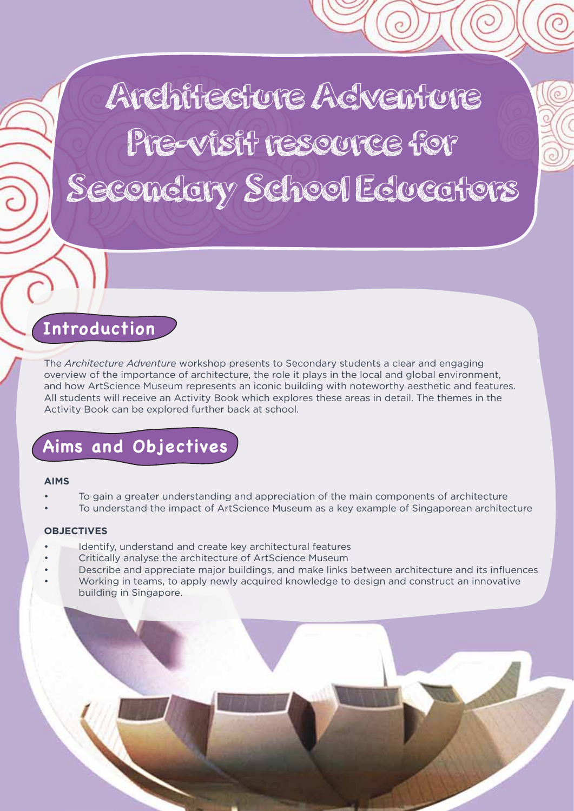Architecture Acventure Pre-visit resource for Secondary School Educators

# **Introduction**

The *Architecture Adventure* workshop presents to Secondary students a clear and engaging overview of the importance of architecture, the role it plays in the local and global environment, and how ArtScience Museum represents an iconic building with noteworthy aesthetic and features. All students will receive an Activity Book which explores these areas in detail. The themes in the Activity Book can be explored further back at school.

# **Aims and Objectives**

#### **AIMS**

- To gain a greater understanding and appreciation of the main components of architecture
- To understand the impact of ArtScience Museum as a key example of Singaporean architecture

# **OBJECTIVES**

- Identify, understand and create key architectural features
- Critically analyse the architecture of ArtScience Museum
- Describe and appreciate major buildings, and make links between architecture and its influences • Working in teams, to apply newly acquired knowledge to design and construct an innovative building in Singapore.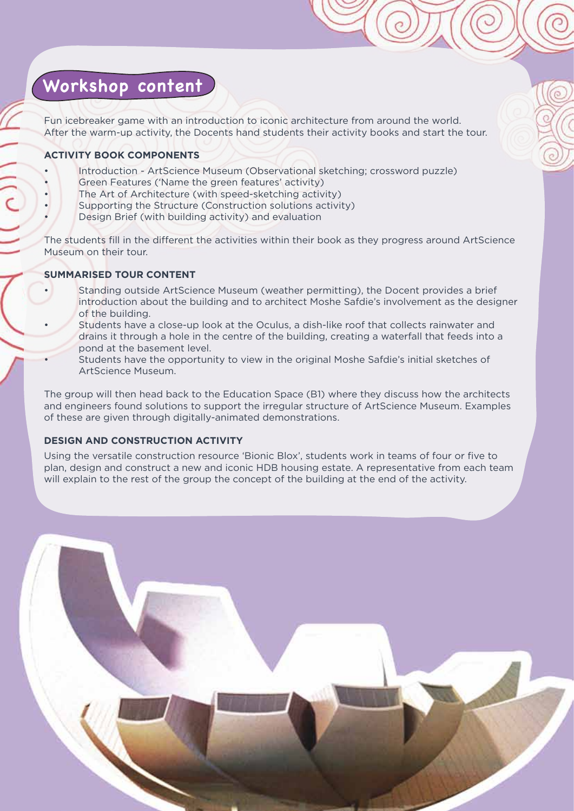# **Workshop content**

Fun icebreaker game with an introduction to iconic architecture from around the world. After the warm-up activity, the Docents hand students their activity books and start the tour.

# **ACTIVITY BOOK COMPONENTS**

- Introduction ArtScience Museum (Observational sketching; crossword puzzle) Green Features ('Name the green features' activity)
- The Art of Architecture (with speed-sketching activity)
- Supporting the Structure (Construction solutions activity)
- Design Brief (with building activity) and evaluation

The students fill in the different the activities within their book as they progress around ArtScience Museum on their tour.

# **SUMMARISED TOUR CONTENT**

- Standing outside ArtScience Museum (weather permitting), the Docent provides a brief introduction about the building and to architect Moshe Safdie's involvement as the designer of the building.
- Students have a close-up look at the Oculus, a dish-like roof that collects rainwater and drains it through a hole in the centre of the building, creating a waterfall that feeds into a pond at the basement level.
- Students have the opportunity to view in the original Moshe Safdie's initial sketches of ArtScience Museum.

The group will then head back to the Education Space (B1) where they discuss how the architects and engineers found solutions to support the irregular structure of ArtScience Museum. Examples of these are given through digitally-animated demonstrations.

# **DESIGN AND CONSTRUCTION ACTIVITY**

Using the versatile construction resource 'Bionic Blox', students work in teams of four or five to plan, design and construct a new and iconic HDB housing estate. A representative from each team will explain to the rest of the group the concept of the building at the end of the activity.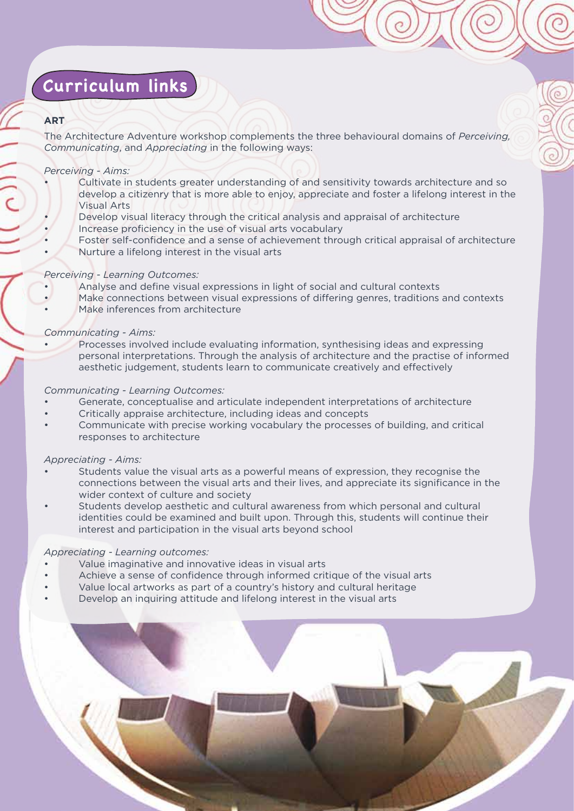# **Curriculum links**

# **ART**

The Architecture Adventure workshop complements the three behavioural domains of *Perceiving, Communicating*, and *Appreciating* in the following ways:

#### *Perceiving - Aims:*

- Cultivate in students greater understanding of and sensitivity towards architecture and so develop a citizenry that is more able to enjoy, appreciate and foster a lifelong interest in the Visual Arts
- Develop visual literacy through the critical analysis and appraisal of architecture • Increase proficiency in the use of visual arts vocabulary
- Foster self-confidence and a sense of achievement through critical appraisal of architecture • Nurture a lifelong interest in the visual arts

#### *Perceiving - Learning Outcomes:*

- Analyse and define visual expressions in light of social and cultural contexts
- Make connections between visual expressions of differing genres, traditions and contexts Make inferences from architecture

#### *Communicating - Aims:*

• Processes involved include evaluating information, synthesising ideas and expressing personal interpretations. Through the analysis of architecture and the practise of informed aesthetic judgement, students learn to communicate creatively and effectively

#### *Communicating - Learning Outcomes:*

- Generate, conceptualise and articulate independent interpretations of architecture
- Critically appraise architecture, including ideas and concepts
- Communicate with precise working vocabulary the processes of building, and critical responses to architecture

# *Appreciating - Aims:*

- Students value the visual arts as a powerful means of expression, they recognise the connections between the visual arts and their lives, and appreciate its significance in the wider context of culture and society
- Students develop aesthetic and cultural awareness from which personal and cultural identities could be examined and built upon. Through this, students will continue their interest and participation in the visual arts beyond school

# *Appreciating - Learning outcomes:*

- Value imaginative and innovative ideas in visual arts
- Achieve a sense of confidence through informed critique of the visual arts
- Value local artworks as part of a country's history and cultural heritage • Develop an inquiring attitude and lifelong interest in the visual arts